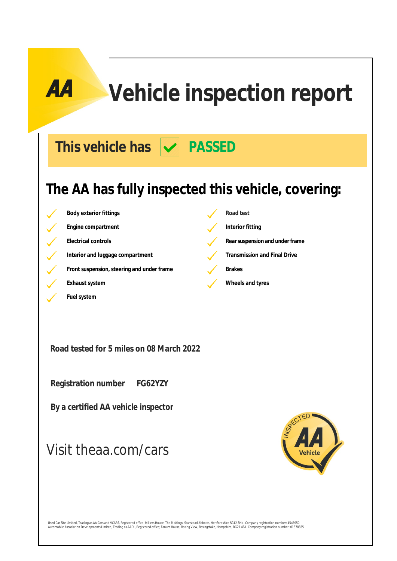# **Vehicle inspection report**

This vehicle has  $|\mathbf{v}|$  PASSED

### **The AA has fully inspected this vehicle, covering:**

**Body exterior fittings Road test Engine compartment Interior fitting Electrical controls Rearsuspension** and under frame Interior and luggage compartment **Transmission and Final Drive Front suspension, steering and under frame Brakes Exhaust system Exhaust system Wheels and tyres** 

**Road tested for 5 miles on 08 March 2022**

 **Registration number FG62YZY**

**Fuel system**

 **By a certified AA vehicle inspector**

### Visit theaa.com/cars



Used Car Site Limited, Trading as AA Cars and VCARS, Registered office; Millers House, The Maltings, Stanstead Abbotts, Hertfordshire SG12 8HN. Company registration number: 4546950<br>Automobile Association Developments Limit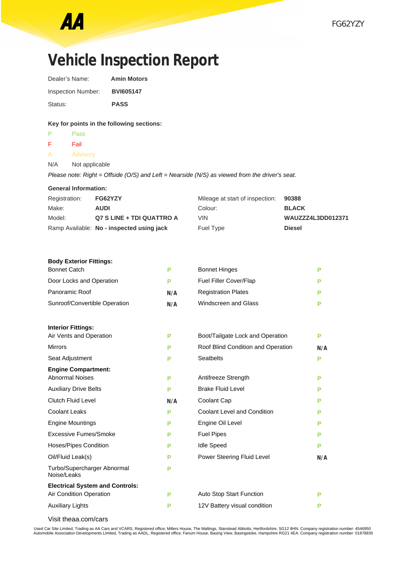## **Vehicle Inspection Report**

| Dealer's Name:     | <b>Amin Motors</b> |
|--------------------|--------------------|
| Inspection Number: | <b>BVI605147</b>   |
| Status:            | <b>PASS</b>        |

### **Key for points in the following sections:**

| P             | Pass                        |                                                                                                |              |
|---------------|-----------------------------|------------------------------------------------------------------------------------------------|--------------|
| F.            | Fail                        |                                                                                                |              |
| A             | <b>Advisory</b>             |                                                                                                |              |
| N/A           | Not applicable              |                                                                                                |              |
|               |                             | Please note: Right = Offside (O/S) and Left = Nearside (N/S) as viewed from the driver's seat. |              |
|               | <b>General Information:</b> |                                                                                                |              |
| Registration: | FG62YZY                     | Mileage at start of inspection:                                                                | 90388        |
| Make:         | <b>AUDI</b>                 | Colour:                                                                                        | <b>BLACK</b> |

| Registration: | <b>FG62YZY</b>                            | Mileage at start of inspection: 90388 |                          |
|---------------|-------------------------------------------|---------------------------------------|--------------------------|
| Make:         | <b>AUDI</b>                               | Colour:                               | <b>BLACK</b>             |
| Model:        | Q7 S LINE + TDI QUATTRO A                 | <b>VIN</b>                            | <b>WAUZZZ4L3DD012371</b> |
|               | Ramp Available: No - inspected using jack | Fuel Type                             | <b>Diesel</b>            |

#### **Body Exterior Fittings:**

| <b>Bonnet Catch</b>                        | P   | <b>Bonnet Hinges</b>               | P   |
|--------------------------------------------|-----|------------------------------------|-----|
| Door Locks and Operation                   | P   | Fuel Filler Cover/Flap             | P   |
| Panoramic Roof                             | N/A | <b>Registration Plates</b>         | Р   |
| Sunroof/Convertible Operation              | N/A | Windscreen and Glass               | P   |
| <b>Interior Fittings:</b>                  |     |                                    |     |
| Air Vents and Operation                    | P   | Boot/Tailgate Lock and Operation   | P   |
| <b>Mirrors</b>                             | P   | Roof Blind Condition and Operation | N/A |
| Seat Adjustment                            | P   | <b>Seatbelts</b>                   | P   |
| <b>Engine Compartment:</b>                 |     |                                    |     |
| <b>Abnormal Noises</b>                     | P   | Antifreeze Strength                | P   |
| <b>Auxiliary Drive Belts</b>               | P   | <b>Brake Fluid Level</b>           | P   |
| <b>Clutch Fluid Level</b>                  | N/A | Coolant Cap                        | P   |
| Coolant Leaks                              | P   | <b>Coolant Level and Condition</b> | Р   |
| <b>Engine Mountings</b>                    | P   | Engine Oil Level                   | P   |
| Excessive Fumes/Smoke                      | P   | <b>Fuel Pipes</b>                  | P   |
| Hoses/Pipes Condition                      | P   | <b>Idle Speed</b>                  | P   |
| Oil/Fluid Leak(s)                          | P   | Power Steering Fluid Level         | N/A |
| Turbo/Supercharger Abnormal<br>Noise/Leaks | P   |                                    |     |
| <b>Electrical System and Controls:</b>     |     |                                    |     |
| Air Condition Operation                    | P   | Auto Stop Start Function           | P   |
| <b>Auxiliary Lights</b>                    | Р   | 12V Battery visual condition       | Р   |
|                                            |     |                                    |     |

Visit theaa.com/cars

Used Car Site Limited, Trading as AA Cars and VCARS, Registered office; Millers House, The Maltings, Stanstead Abbotts, Hertfordshire, SG12 8HN. Company registration number: 4546950<br>Automobile Association Developments Limi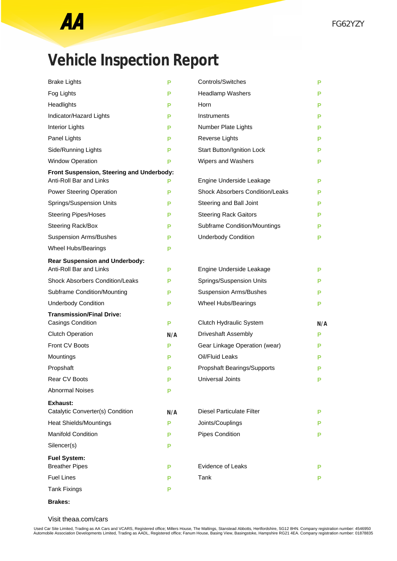

## **Vehicle Inspection Report**

| <b>Brake Lights</b>                                          | Р   | Controls/Switches                      | Р        |
|--------------------------------------------------------------|-----|----------------------------------------|----------|
| Fog Lights                                                   | Р   | <b>Headlamp Washers</b>                | Р        |
| Headlights                                                   | P   | Horn                                   | Р        |
| Indicator/Hazard Lights                                      | P   | Instruments                            | Р        |
| <b>Interior Lights</b>                                       | P   | Number Plate Lights                    | Р        |
| Panel Lights                                                 | P   | Reverse Lights                         | Р        |
| Side/Running Lights                                          | P   | Start Button/Ignition Lock             | Р        |
| <b>Window Operation</b>                                      | P   | Wipers and Washers                     | Р        |
| Front Suspension, Steering and Underbody:                    |     |                                        |          |
| Anti-Roll Bar and Links                                      | Р   | Engine Underside Leakage               | Р        |
| <b>Power Steering Operation</b>                              | P   | <b>Shock Absorbers Condition/Leaks</b> | Р        |
| Springs/Suspension Units                                     | P   | Steering and Ball Joint                | Р        |
| <b>Steering Pipes/Hoses</b>                                  | P   | <b>Steering Rack Gaitors</b>           | Р        |
| Steering Rack/Box                                            | P   | <b>Subframe Condition/Mountings</b>    | Р        |
| <b>Suspension Arms/Bushes</b>                                | Р   | <b>Underbody Condition</b>             | Р        |
| Wheel Hubs/Bearings                                          | Р   |                                        |          |
| <b>Rear Suspension and Underbody:</b>                        |     |                                        |          |
| Anti-Roll Bar and Links                                      | Р   | Engine Underside Leakage               | Р        |
| <b>Shock Absorbers Condition/Leaks</b>                       | P   | Springs/Suspension Units               | Р        |
| Subframe Condition/Mounting                                  | P   | <b>Suspension Arms/Bushes</b>          | Р        |
| <b>Underbody Condition</b>                                   | Р   | Wheel Hubs/Bearings                    | Р        |
| <b>Transmission/Final Drive:</b><br><b>Casings Condition</b> | P   | Clutch Hydraulic System                |          |
| <b>Clutch Operation</b>                                      | N/A | <b>Driveshaft Assembly</b>             | N/A<br>P |
| <b>Front CV Boots</b>                                        | Р   | Gear Linkage Operation (wear)          | P        |
| Mountings                                                    | P   | Oil/Fluid Leaks                        | P        |
| Propshaft                                                    | Р   | Propshaft Bearings/Supports            | Р        |
| Rear CV Boots                                                | Р   | <b>Universal Joints</b>                | Р        |
| <b>Abnormal Noises</b>                                       | P   |                                        |          |
|                                                              |     |                                        |          |
| Exhaust:<br>Catalytic Converter(s) Condition                 | N/A | <b>Diesel Particulate Filter</b>       | Р        |
| Heat Shields/Mountings                                       | P   | Joints/Couplings                       | Р        |
| <b>Manifold Condition</b>                                    | P   | <b>Pipes Condition</b>                 | Р        |
| Silencer(s)                                                  | P   |                                        |          |
| <b>Fuel System:</b>                                          |     |                                        |          |
| <b>Breather Pipes</b>                                        | P   | <b>Evidence of Leaks</b>               | Р        |
| <b>Fuel Lines</b>                                            | P   | Tank                                   | Р        |
| <b>Tank Fixings</b>                                          | Р   |                                        |          |
|                                                              |     |                                        |          |

**Brakes:**

Visit theaa.com/cars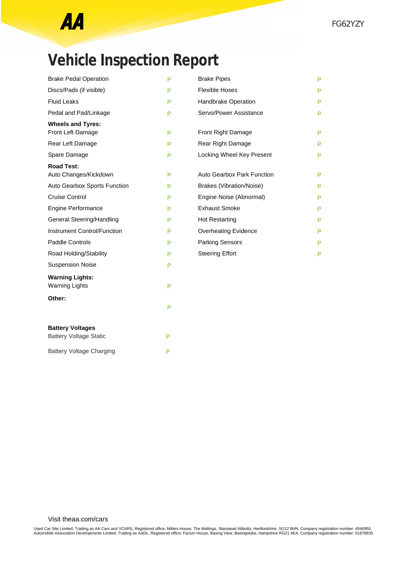## **Vehicle Inspection Report**

| <b>Brake Pedal Operation</b>  | P | <b>Brake Pipes</b>              | P |
|-------------------------------|---|---------------------------------|---|
| Discs/Pads (if visible)       | P | <b>Flexible Hoses</b>           | Р |
| <b>Fluid Leaks</b>            | P | Handbrake Operation             | Р |
| Pedal and Pad/Linkage         | P | Servo/Power Assistance          | Р |
| <b>Wheels and Tyres:</b>      |   |                                 |   |
| Front Left Damage             | P | Front Right Damage              | Р |
| Rear Left Damage              | P | Rear Right Damage               | P |
| Spare Damage                  | P | Locking Wheel Key Present       | Р |
| <b>Road Test:</b>             |   |                                 |   |
| Auto Changes/Kickdown         | P | Auto Gearbox Park Function      | Р |
| Auto Gearbox Sports Function  | P | <b>Brakes (Vibration/Noise)</b> | Р |
| <b>Cruise Control</b>         | P | Engine Noise (Abnormal)         | Р |
| <b>Engine Performance</b>     | P | <b>Exhaust Smoke</b>            | P |
| General Steering/Handling     | P | <b>Hot Restarting</b>           | Р |
| Instrument Control/Function   | P | <b>Overheating Evidence</b>     | Р |
| <b>Paddle Controls</b>        | P | <b>Parking Sensors</b>          | Р |
| Road Holding/Stability        | P | <b>Steering Effort</b>          | P |
| <b>Suspension Noise</b>       | P |                                 |   |
| <b>Warning Lights:</b>        |   |                                 |   |
| <b>Warning Lights</b>         | P |                                 |   |
| Other:                        |   |                                 |   |
|                               | P |                                 |   |
| <b>Battery Voltages</b>       |   |                                 |   |
| <b>Battery Voltage Static</b> | P |                                 |   |

Battery Voltage Charging **P**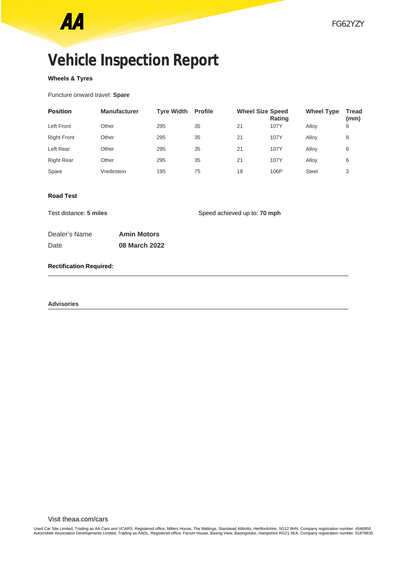## **Vehicle Inspection Report**

### **Wheels & Tyres**

Puncture onward travel: **Spare**

| <b>Position</b>    | <b>Manufacturer</b> | <b>Tyre Width</b> | <b>Profile</b> | <b>Wheel Size Speed</b> | <b>Rating</b> | <b>Wheel Type</b> | <b>Tread</b><br>(mm) |
|--------------------|---------------------|-------------------|----------------|-------------------------|---------------|-------------------|----------------------|
| Left Front         | Other               | 295               | 35             | 21                      | 107Y          | Alloy             | 8                    |
| <b>Right Front</b> | Other               | 295               | 35             | 21                      | 107Y          | Allov             | 8                    |
| Left Rear          | Other               | 295               | 35             | 21                      | 107Y          | Allov             | 6                    |
| <b>Right Rear</b>  | Other               | 295               | 35             | 21                      | 107Y          | Allov             | 6                    |
| Spare              | Vredestein          | 195               | 75             | 18                      | 106P          | <b>Steel</b>      | 3                    |

### **Road Test**

Test distance: **5 miles** Speed achieved up to: **70 mph** 

| Dealer's Name | <b>Amin Motors</b> |
|---------------|--------------------|
| Date          | 08 March 2022      |

### **Rectification Required:**

**Advisories**